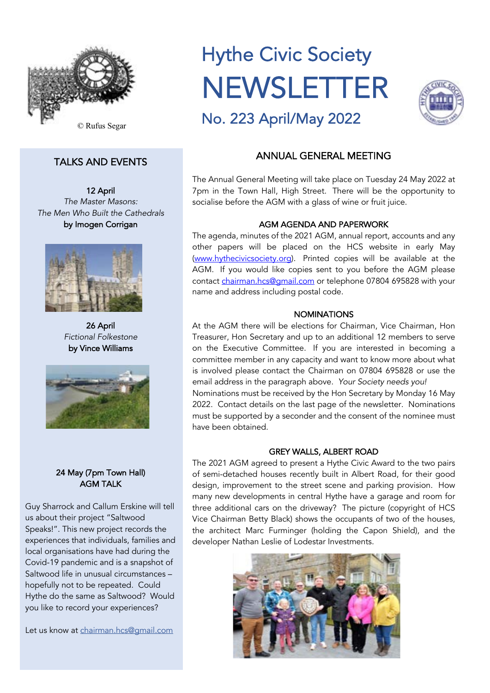

# TALKS AND EVENTS

12 April *The Master Masons: The Men Who Built the Cathedrals* by Imogen Corrigan



26 April *Fictional Folkestone* by Vince Williams



# 24 May (7pm Town Hall) AGM TALK

Guy Sharrock and Callum Erskine will tell us about their project "Saltwood Speaks!". This new project records the experiences that individuals, families and local organisations have had during the Covid-19 pandemic and is a snapshot of Saltwood life in unusual circumstances – hopefully not to be repeated. Could Hythe do the same as Saltwood? Would you like to record your experiences?

Let us know at chairman.hcs@gmail.com

# Hythe Civic Society NEWSLETTER No. 223 April/May 2022



# ANNUAL GENERAL MEETING

The Annual General Meeting will take place on Tuesday 24 May 2022 at 7pm in the Town Hall, High Street. There will be the opportunity to socialise before the AGM with a glass of wine or fruit juice.

# AGM AGENDA AND PAPERWORK

The agenda, minutes of the 2021 AGM, annual report, accounts and any other papers will be placed on the HCS website in early May (www.hythecivicsociety.org). Printed copies will be available at the AGM. If you would like copies sent to you before the AGM please contact chairman.hcs@gmail.com or telephone 07804 695828 with your name and address including postal code.

# **NOMINATIONS**

At the AGM there will be elections for Chairman, Vice Chairman, Hon Treasurer, Hon Secretary and up to an additional 12 members to serve on the Executive Committee. If you are interested in becoming a committee member in any capacity and want to know more about what is involved please contact the Chairman on 07804 695828 or use the email address in the paragraph above. *Your Society needs you!* Nominations must be received by the Hon Secretary by Monday 16 May 2022. Contact details on the last page of the newsletter. Nominations must be supported by a seconder and the consent of the nominee must have been obtained.

# GREY WALLS, ALBERT ROAD

The 2021 AGM agreed to present a Hythe Civic Award to the two pairs of semi-detached houses recently built in Albert Road, for their good design, improvement to the street scene and parking provision. How many new developments in central Hythe have a garage and room for three additional cars on the driveway? The picture (copyright of HCS Vice Chairman Betty Black) shows the occupants of two of the houses, the architect Marc Furminger (holding the Capon Shield), and the developer Nathan Leslie of Lodestar Investments.

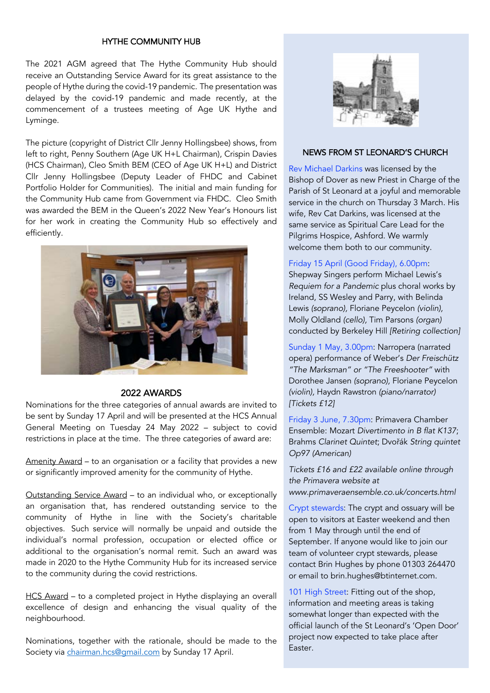# HYTHE COMMUNITY HUB

The 2021 AGM agreed that The Hythe Community Hub should receive an Outstanding Service Award for its great assistance to the people of Hythe during the covid-19 pandemic. The presentation was delayed by the covid-19 pandemic and made recently, at the commencement of a trustees meeting of Age UK Hythe and Lyminge.

The picture (copyright of District Cllr Jenny Hollingsbee) shows, from left to right, Penny Southern (Age UK H+L Chairman), Crispin Davies (HCS Chairman), Cleo Smith BEM (CEO of Age UK H+L) and District Cllr Jenny Hollingsbee (Deputy Leader of FHDC and Cabinet Portfolio Holder for Communities). The initial and main funding for the Community Hub came from Government via FHDC. Cleo Smith was awarded the BEM in the Queen's 2022 New Year's Honours list for her work in creating the Community Hub so effectively and efficiently.



# 2022 AWARDS

Nominations for the three categories of annual awards are invited to be sent by Sunday 17 April and will be presented at the HCS Annual General Meeting on Tuesday 24 May 2022 – subject to covid restrictions in place at the time. The three categories of award are:

Amenity Award – to an organisation or a facility that provides a new or significantly improved amenity for the community of Hythe.

Outstanding Service Award – to an individual who, or exceptionally an organisation that, has rendered outstanding service to the community of Hythe in line with the Society's charitable objectives. Such service will normally be unpaid and outside the individual's normal profession, occupation or elected office or additional to the organisation's normal remit. Such an award was made in 2020 to the Hythe Community Hub for its increased service to the community during the covid restrictions.

HCS Award – to a completed project in Hythe displaying an overall excellence of design and enhancing the visual quality of the neighbourhood.

Nominations, together with the rationale, should be made to the Society via chairman.hcs@gmail.com by Sunday 17 April.



## NEWS FROM ST LEONARD'S CHURCH

Rev Michael Darkins was licensed by the Bishop of Dover as new Priest in Charge of the Parish of St Leonard at a joyful and memorable service in the church on Thursday 3 March. His wife, Rev Cat Darkins, was licensed at the same service as Spiritual Care Lead for the Pilgrims Hospice, Ashford. We warmly welcome them both to our community.

#### Friday 15 April (Good Friday), 6.00pm:

Shepway Singers perform Michael Lewis's *Requiem for a Pandemic* plus choral works by Ireland, SS Wesley and Parry, with Belinda Lewis *(soprano),* Floriane Peycelon *(violin),* Molly Oldland *(cello),* Tim Parsons *(organ)* conducted by Berkeley Hill *[Retiring collection]*

Sunday 1 May, 3.00pm: Narropera (narrated opera) performance of Weber's *Der Freischütz "The Marksman" or "The Freeshooter"* with Dorothee Jansen *(soprano),* Floriane Peycelon *(violin),* Haydn Rawstron *(piano/narrator) [Tickets £12]* 

Friday 3 June, 7.30pm: Primavera Chamber Ensemble: Mozart *Divertimento in B flat K137*; Brahms *Clarinet Quintet*; Dvořák *String quintet Op97 (American)* 

*Tickets £16 and £22 available online through the Primavera website at www.primaveraensemble.co.uk/concerts.html* 

Crypt stewards: The crypt and ossuary will be open to visitors at Easter weekend and then from 1 May through until the end of September. If anyone would like to join our team of volunteer crypt stewards, please contact Brin Hughes by phone 01303 264470 or email to brin.hughes@btinternet.com.

101 High Street: Fitting out of the shop, information and meeting areas is taking somewhat longer than expected with the official launch of the St Leonard's 'Open Door' project now expected to take place after Easter.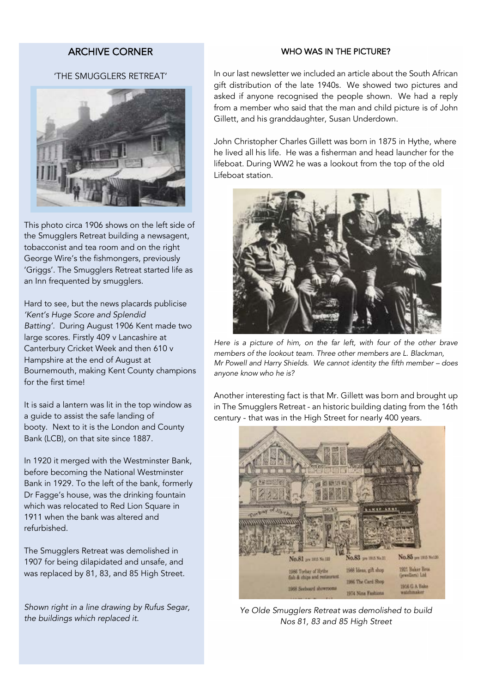# ARCHIVE CORNER

## WHO WAS IN THE PICTURE?

# 'THE SMUGGLERS RETREAT'



This photo circa 1906 shows on the left side of the Smugglers Retreat building a newsagent, tobacconist and tea room and on the right George Wire's the fishmongers, previously 'Griggs'. The Smugglers Retreat started life as an Inn frequented by smugglers.

Hard to see, but the news placards publicise *'Kent's Huge Score and Splendid Batting'.* During August 1906 Kent made two large scores. Firstly 409 v Lancashire at Canterbury Cricket Week and then 610 v Hampshire at the end of August at Bournemouth, making Kent County champions for the first time!

It is said a lantern was lit in the top window as a guide to assist the safe landing of booty. Next to it is the London and County Bank (LCB), on that site since 1887.

In 1920 it merged with the Westminster Bank, before becoming the National Westminster Bank in 1929. To the left of the bank, formerly Dr Fagge's house, was the drinking fountain which was relocated to Red Lion Square in 1911 when the bank was altered and refurbished.

The Smugglers Retreat was demolished in 1907 for being dilapidated and unsafe, and was replaced by 81, 83, and 85 High Street.

*Shown right in a line drawing by Rufus Segar, the buildings which replaced it.*

In our last newsletter we included an article about the South African gift distribution of the late 1940s. We showed two pictures and asked if anyone recognised the people shown. We had a reply from a member who said that the man and child picture is of John Gillett, and his granddaughter, Susan Underdown.

John Christopher Charles Gillett was born in 1875 in Hythe, where he lived all his life. He was a fisherman and head launcher for the lifeboat. During WW2 he was a lookout from the top of the old Lifeboat station.



Here is a picture of him, on the far left, with four of the other brave *members of the lookout team. Three other members are L. Blackman, Mr Powell and Harry Shields. We cannot identity the fifth member – does anyone know who he is?*

Another interesting fact is that Mr. Gillett was born and brought up in The Smugglers Retreat - an historic building dating from the 16th century - that was in the High Street for nearly 400 years.



*Ye Olde Smugglers Retreat was demolished to build Nos 81, 83 and 85 High Street*